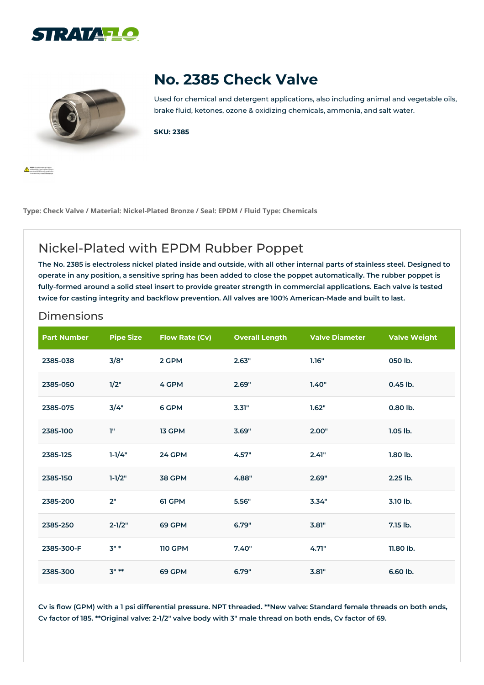



**All Band Corporation** 

## **No. 2385 Check Valve**

Used for chemical and detergent applications, also including animal and vegetable oils, brake fluid, ketones, ozone & oxidizing chemicals, ammonia, and salt water.

**SKU: 2385**

**Type: Check Valve / Material: Nickel-Plated Bronze / Seal: EPDM / Fluid Type: Chemicals**

## Nickel-Plated with EPDM Rubber Poppet

The No. 2385 is electroless nickel plated inside and outside, with all other internal parts of stainless steel. Designed to operate in any position, a sensitive spring has been added to close the poppet automatically. The rubber poppet is fully-formed around a solid steel insert to provide greater strength in commercial applications. Each valve is tested **twice for casting integrity and backflow prevention. All valves are 100% American-Made and built to last.**

## Dimensions

| <b>Part Number</b> | <b>Pipe Size</b> | <b>Flow Rate (Cv)</b> | <b>Overall Length</b> | <b>Valve Diameter</b> | <b>Valve Weight</b> |
|--------------------|------------------|-----------------------|-----------------------|-----------------------|---------------------|
| 2385-038           | 3/8"             | 2 GPM                 | 2.63"                 | 1.16"                 | 050 lb.             |
| 2385-050           | 1/2"             | 4 GPM                 | 2.69"                 | 1.40"                 | 0.45 lb.            |
| 2385-075           | 3/4"             | 6 GPM                 | 3.31"                 | 1.62"                 | 0.80 lb.            |
| 2385-100           | T"               | 13 GPM                | 3.69"                 | 2.00"                 | $1.05$ lb.          |
| 2385-125           | $1 - 1/4"$       | 24 GPM                | 4.57"                 | 2.41"                 | $1.80$ lb.          |
| 2385-150           | $1 - 1/2"$       | 38 GPM                | 4.88"                 | 2.69"                 | 2.25 lb.            |
| 2385-200           | 2"               | 61 GPM                | 5.56"                 | 3.34"                 | 3.10 lb.            |
| 2385-250           | $2 - 1/2"$       | 69 GPM                | 6.79"                 | 3.81"                 | 7.15 lb.            |
| 2385-300-F         | $3"$ *           | <b>110 GPM</b>        | 7.40"                 | 4.71"                 | 11.80 lb.           |
| 2385-300           | $3" **$          | 69 GPM                | 6.79"                 | 3.81"                 | 6.60 lb.            |

Cv is flow (GPM) with a 1 psi differential pressure. NPT threaded. \*\*New valve: Standard female threads on both ends, Cv factor of 185. \*\* Original valve: 2-1/2" valve body with 3" male thread on both ends, Cv factor of 69.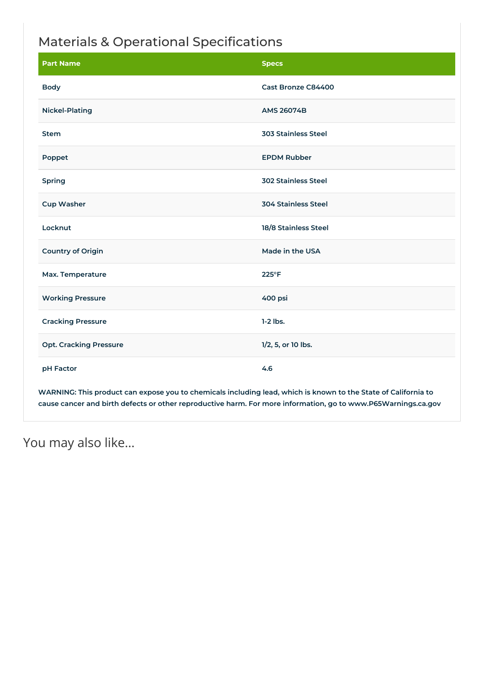## Materials & Operational Specifications

| <b>Part Name</b>              | <b>Specs</b>               |
|-------------------------------|----------------------------|
| <b>Body</b>                   | Cast Bronze C84400         |
| <b>Nickel-Plating</b>         | <b>AMS 26074B</b>          |
| <b>Stem</b>                   | <b>303 Stainless Steel</b> |
| Poppet                        | <b>EPDM Rubber</b>         |
| Spring                        | <b>302 Stainless Steel</b> |
| <b>Cup Washer</b>             | <b>304 Stainless Steel</b> |
| Locknut                       | 18/8 Stainless Steel       |
| <b>Country of Origin</b>      | Made in the USA            |
| Max. Temperature              | $225^{\circ}F$             |
| <b>Working Pressure</b>       | 400 psi                    |
| <b>Cracking Pressure</b>      | $1-2$ lbs.                 |
| <b>Opt. Cracking Pressure</b> | 1/2, 5, or 10 lbs.         |
| pH Factor                     | 4.6                        |

WARNING: This product can expose you to chemicals including lead, which is known to the State of California to **cause cancer and birth defects or other reproductive harm. For more information, go to www.P65Warnings.ca.gov**

You may also like…